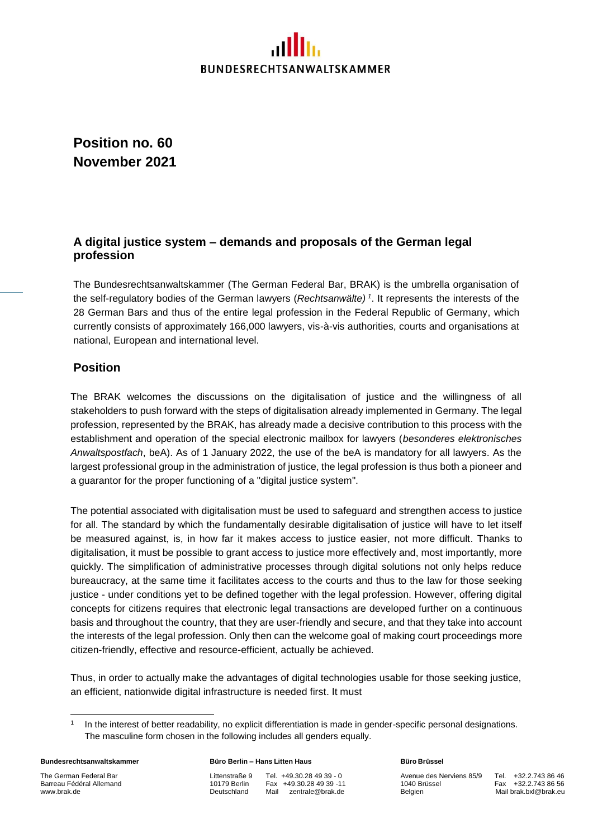# **BUNDESRECHTSANWALTSKAMMER**

**Position no. 60 November 2021**

## **A digital justice system – demands and proposals of the German legal profession**

The Bundesrechtsanwaltskammer (The German Federal Bar, BRAK) is the umbrella organisation of the self-regulatory bodies of the German lawyers (*Rechtsanwälte) 1* . It represents the interests of the 28 German Bars and thus of the entire legal profession in the Federal Republic of Germany, which currently consists of approximately 166,000 lawyers, vis-à-vis authorities, courts and organisations at national, European and international level.

### **Position**

The BRAK welcomes the discussions on the digitalisation of justice and the willingness of all stakeholders to push forward with the steps of digitalisation already implemented in Germany. The legal profession, represented by the BRAK, has already made a decisive contribution to this process with the establishment and operation of the special electronic mailbox for lawyers (*besonderes elektronisches Anwaltspostfach*, beA). As of 1 January 2022, the use of the beA is mandatory for all lawyers. As the largest professional group in the administration of justice, the legal profession is thus both a pioneer and a guarantor for the proper functioning of a "digital justice system".

The potential associated with digitalisation must be used to safeguard and strengthen access to justice for all. The standard by which the fundamentally desirable digitalisation of justice will have to let itself be measured against, is, in how far it makes access to justice easier, not more difficult. Thanks to digitalisation, it must be possible to grant access to justice more effectively and, most importantly, more quickly. The simplification of administrative processes through digital solutions not only helps reduce bureaucracy, at the same time it facilitates access to the courts and thus to the law for those seeking justice - under conditions yet to be defined together with the legal profession. However, offering digital concepts for citizens requires that electronic legal transactions are developed further on a continuous basis and throughout the country, that they are user-friendly and secure, and that they take into account the interests of the legal profession. Only then can the welcome goal of making court proceedings more citizen-friendly, effective and resource-efficient, actually be achieved.

Thus, in order to actually make the advantages of digital technologies usable for those seeking justice, an efficient, nationwide digital infrastructure is needed first. It must

#### **Bundesrechtsanwaltskammer Büro Berlin – Hans Litten Haus Büro Brüssel**

The German Federal Bar **Littenstraße 9** Tel. +49.30.28 49 39 - 0 Avenue des Nerviens 85/9 Tel. +32.2.743 86 46<br>10179 Berlin Fax +49.30.28 49 39 -11 1040 Brüssel Fax +32.2.743 86 56 Barreau Fédéral Allemand 10179 Berlin Fax +49.30.28 49 39 -11 1040 Brüssel Fax +32.2.743 86 56 [www.brak.de](http://www.brak.de/) Deutschland Mail [zentrale@brak.de](mailto:zentrale@brak.de) Belgien Mai[l brak.bxl@brak.eu](mailto:brak.bxl@brak.eu)

<sup>1</sup> In the interest of better readability, no explicit differentiation is made in gender-specific personal designations. The masculine form chosen in the following includes all genders equally.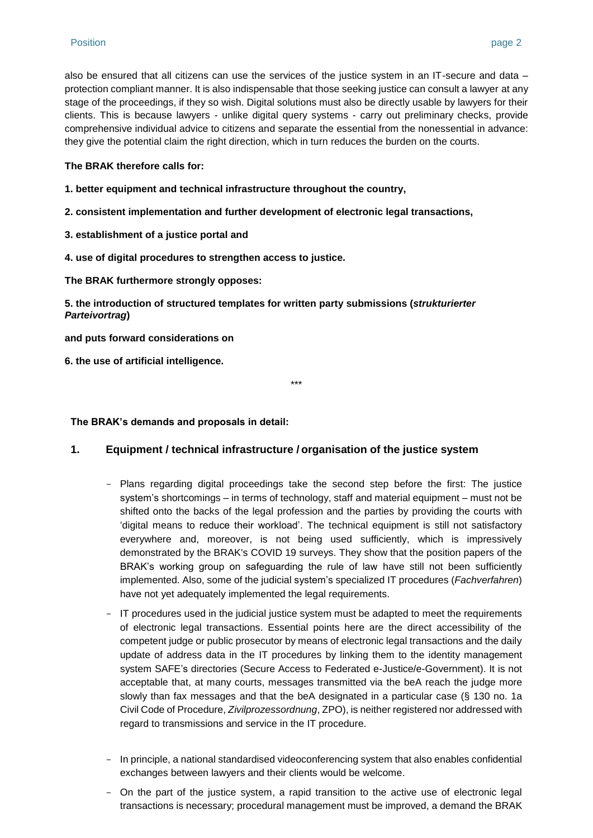also be ensured that all citizens can use the services of the justice system in an IT-secure and data – protection compliant manner. It is also indispensable that those seeking justice can consult a lawyer at any stage of the proceedings, if they so wish. Digital solutions must also be directly usable by lawyers for their clients. This is because lawyers - unlike digital query systems - carry out preliminary checks, provide comprehensive individual advice to citizens and separate the essential from the nonessential in advance: they give the potential claim the right direction, which in turn reduces the burden on the courts.

#### **The BRAK therefore calls for:**

- **1. better equipment and technical infrastructure throughout the country,**
- **2. consistent implementation and further development of electronic legal transactions,**
- **3. establishment of a justice portal and**
- **4. use of digital procedures to strengthen access to justice.**

**The BRAK furthermore strongly opposes:**

**5. the introduction of structured templates for written party submissions (***strukturierter Parteivortrag***)**

**and puts forward considerations on** 

**6. the use of artificial intelligence.**

\*\*\*

**The BRAK's demands and proposals in detail:**

#### **1. Equipment / technical infrastructure / organisation of the justice system**

- Plans regarding digital proceedings take the second step before the first: The justice system's shortcomings – in terms of technology, staff and material equipment – must not be shifted onto the backs of the legal profession and the parties by providing the courts with 'digital means to reduce their workload'. The technical equipment is still not satisfactory everywhere and, moreover, is not being used sufficiently, which is impressively demonstrated by the BRAK's COVID 19 surveys. They show that the position papers of the BRAK's working group on safeguarding the rule of law have still not been sufficiently implemented. Also, some of the judicial system's specialized IT procedures (*Fachverfahren*) have not yet adequately implemented the legal requirements.
- IT procedures used in the judicial justice system must be adapted to meet the requirements of electronic legal transactions. Essential points here are the direct accessibility of the competent judge or public prosecutor by means of electronic legal transactions and the daily update of address data in the IT procedures by linking them to the identity management system SAFE's directories (Secure Access to Federated e-Justice/e-Government). It is not acceptable that, at many courts, messages transmitted via the beA reach the judge more slowly than fax messages and that the beA designated in a particular case (§ 130 no. 1a Civil Code of Procedure, *Zivilprozessordnung*, ZPO), is neither registered nor addressed with regard to transmissions and service in the IT procedure.
- In principle, a national standardised videoconferencing system that also enables confidential exchanges between lawyers and their clients would be welcome.
- On the part of the justice system, a rapid transition to the active use of electronic legal transactions is necessary; procedural management must be improved, a demand the BRAK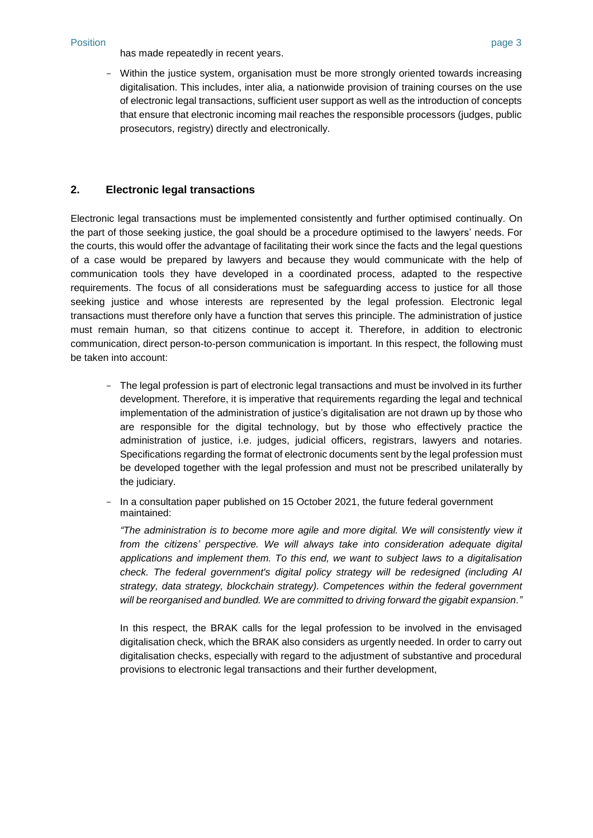#### Position page 3

has made repeatedly in recent years.

- Within the justice system, organisation must be more strongly oriented towards increasing digitalisation. This includes, inter alia, a nationwide provision of training courses on the use of electronic legal transactions, sufficient user support as well as the introduction of concepts that ensure that electronic incoming mail reaches the responsible processors (judges, public prosecutors, registry) directly and electronically.

#### **2. Electronic legal transactions**

Electronic legal transactions must be implemented consistently and further optimised continually. On the part of those seeking justice, the goal should be a procedure optimised to the lawyers' needs. For the courts, this would offer the advantage of facilitating their work since the facts and the legal questions of a case would be prepared by lawyers and because they would communicate with the help of communication tools they have developed in a coordinated process, adapted to the respective requirements. The focus of all considerations must be safeguarding access to justice for all those seeking justice and whose interests are represented by the legal profession. Electronic legal transactions must therefore only have a function that serves this principle. The administration of justice must remain human, so that citizens continue to accept it. Therefore, in addition to electronic communication, direct person-to-person communication is important. In this respect, the following must be taken into account:

- The legal profession is part of electronic legal transactions and must be involved in its further development. Therefore, it is imperative that requirements regarding the legal and technical implementation of the administration of justice's digitalisation are not drawn up by those who are responsible for the digital technology, but by those who effectively practice the administration of justice, i.e. judges, judicial officers, registrars, lawyers and notaries. Specifications regarding the format of electronic documents sent by the legal profession must be developed together with the legal profession and must not be prescribed unilaterally by the judiciary.
- In a consultation paper published on 15 October 2021, the future federal government maintained:

*"The administration is to become more agile and more digital. We will consistently view it from the citizens' perspective. We will always take into consideration adequate digital applications and implement them. To this end, we want to subject laws to a digitalisation check. The federal government's digital policy strategy will be redesigned (including AI strategy, data strategy, blockchain strategy). Competences within the federal government will be reorganised and bundled. We are committed to driving forward the gigabit expansion."*

In this respect, the BRAK calls for the legal profession to be involved in the envisaged digitalisation check, which the BRAK also considers as urgently needed. In order to carry out digitalisation checks, especially with regard to the adjustment of substantive and procedural provisions to electronic legal transactions and their further development,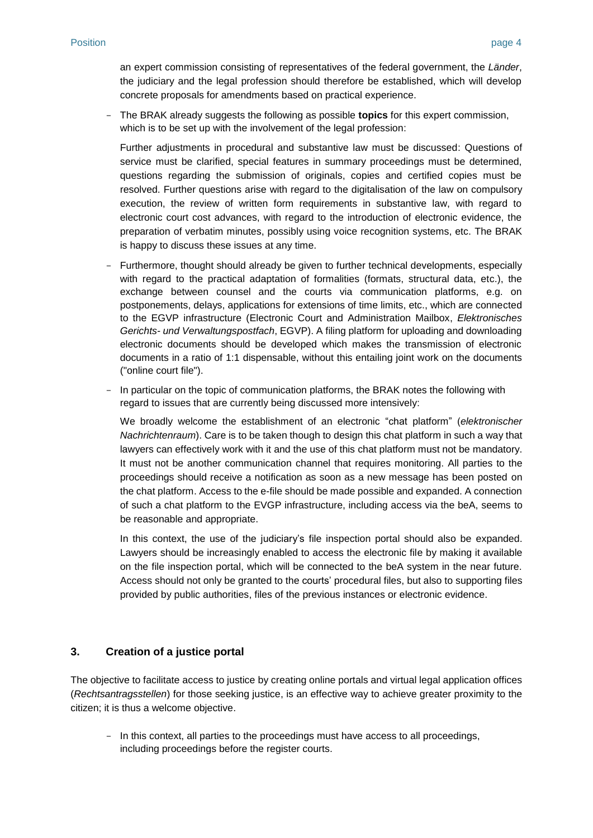an expert commission consisting of representatives of the federal government, the *Länder*, the judiciary and the legal profession should therefore be established, which will develop concrete proposals for amendments based on practical experience.

- The BRAK already suggests the following as possible **topics** for this expert commission, which is to be set up with the involvement of the legal profession:

Further adjustments in procedural and substantive law must be discussed: Questions of service must be clarified, special features in summary proceedings must be determined, questions regarding the submission of originals, copies and certified copies must be resolved. Further questions arise with regard to the digitalisation of the law on compulsory execution, the review of written form requirements in substantive law, with regard to electronic court cost advances, with regard to the introduction of electronic evidence, the preparation of verbatim minutes, possibly using voice recognition systems, etc. The BRAK is happy to discuss these issues at any time.

- Furthermore, thought should already be given to further technical developments, especially with regard to the practical adaptation of formalities (formats, structural data, etc.), the exchange between counsel and the courts via communication platforms, e.g. on postponements, delays, applications for extensions of time limits, etc., which are connected to the EGVP infrastructure (Electronic Court and Administration Mailbox, *Elektronisches Gerichts- und Verwaltungspostfach*, EGVP). A filing platform for uploading and downloading electronic documents should be developed which makes the transmission of electronic documents in a ratio of 1:1 dispensable, without this entailing joint work on the documents ("online court file").
- In particular on the topic of communication platforms, the BRAK notes the following with regard to issues that are currently being discussed more intensively:

We broadly welcome the establishment of an electronic "chat platform" (*elektronischer Nachrichtenraum*). Care is to be taken though to design this chat platform in such a way that lawyers can effectively work with it and the use of this chat platform must not be mandatory. It must not be another communication channel that requires monitoring. All parties to the proceedings should receive a notification as soon as a new message has been posted on the chat platform. Access to the e-file should be made possible and expanded. A connection of such a chat platform to the EVGP infrastructure, including access via the beA, seems to be reasonable and appropriate.

In this context, the use of the judiciary's file inspection portal should also be expanded. Lawyers should be increasingly enabled to access the electronic file by making it available on the file inspection portal, which will be connected to the beA system in the near future. Access should not only be granted to the courts' procedural files, but also to supporting files provided by public authorities, files of the previous instances or electronic evidence.

#### **3. Creation of a justice portal**

The objective to facilitate access to justice by creating online portals and virtual legal application offices (*Rechtsantragsstellen*) for those seeking justice, is an effective way to achieve greater proximity to the citizen; it is thus a welcome objective.

- In this context, all parties to the proceedings must have access to all proceedings, including proceedings before the register courts.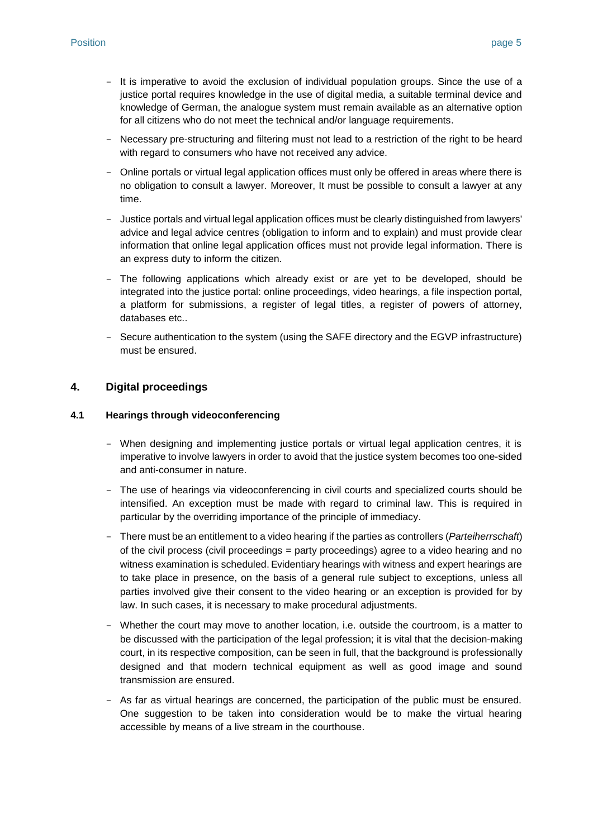- It is imperative to avoid the exclusion of individual population groups. Since the use of a justice portal requires knowledge in the use of digital media, a suitable terminal device and knowledge of German, the analogue system must remain available as an alternative option for all citizens who do not meet the technical and/or language requirements.
- Necessary pre-structuring and filtering must not lead to a restriction of the right to be heard with regard to consumers who have not received any advice.
- Online portals or virtual legal application offices must only be offered in areas where there is no obligation to consult a lawyer. Moreover, It must be possible to consult a lawyer at any time.
- Justice portals and virtual legal application offices must be clearly distinguished from lawyers' advice and legal advice centres (obligation to inform and to explain) and must provide clear information that online legal application offices must not provide legal information. There is an express duty to inform the citizen.
- The following applications which already exist or are yet to be developed, should be integrated into the justice portal: online proceedings, video hearings, a file inspection portal, a platform for submissions, a register of legal titles, a register of powers of attorney, databases etc..
- Secure authentication to the system (using the SAFE directory and the EGVP infrastructure) must be ensured.

#### **4. Digital proceedings**

#### **4.1 Hearings through videoconferencing**

- When designing and implementing justice portals or virtual legal application centres, it is imperative to involve lawyers in order to avoid that the justice system becomes too one-sided and anti-consumer in nature.
- The use of hearings via videoconferencing in civil courts and specialized courts should be intensified. An exception must be made with regard to criminal law. This is required in particular by the overriding importance of the principle of immediacy.
- There must be an entitlement to a video hearing if the parties as controllers (*Parteiherrschaft*) of the civil process (civil proceedings = party proceedings) agree to a video hearing and no witness examination is scheduled. Evidentiary hearings with witness and expert hearings are to take place in presence, on the basis of a general rule subject to exceptions, unless all parties involved give their consent to the video hearing or an exception is provided for by law. In such cases, it is necessary to make procedural adjustments.
- Whether the court may move to another location, i.e. outside the courtroom, is a matter to be discussed with the participation of the legal profession; it is vital that the decision-making court, in its respective composition, can be seen in full, that the background is professionally designed and that modern technical equipment as well as good image and sound transmission are ensured.
- As far as virtual hearings are concerned, the participation of the public must be ensured. One suggestion to be taken into consideration would be to make the virtual hearing accessible by means of a live stream in the courthouse.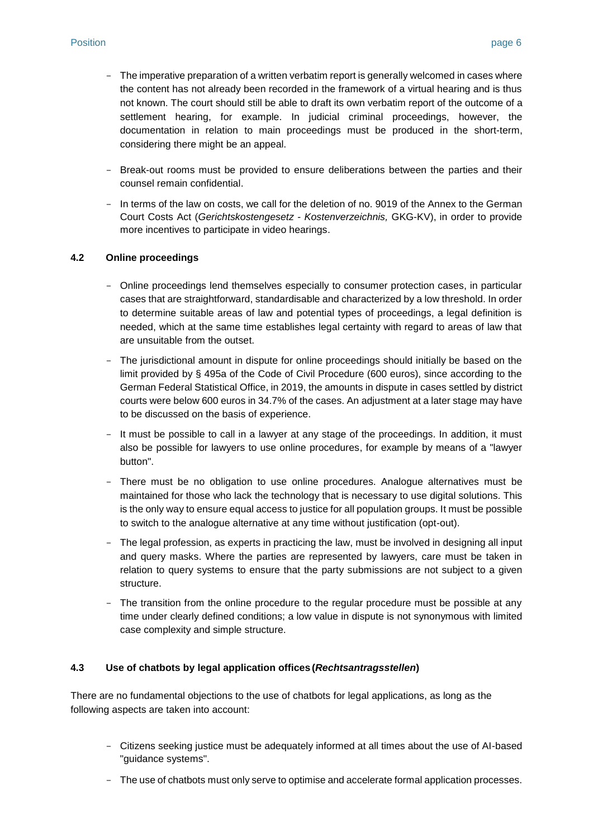- The imperative preparation of a written verbatim report is generally welcomed in cases where the content has not already been recorded in the framework of a virtual hearing and is thus not known. The court should still be able to draft its own verbatim report of the outcome of a settlement hearing, for example. In judicial criminal proceedings, however, the documentation in relation to main proceedings must be produced in the short-term, considering there might be an appeal.
- Break-out rooms must be provided to ensure deliberations between the parties and their counsel remain confidential.
- In terms of the law on costs, we call for the deletion of no. 9019 of the Annex to the German Court Costs Act (*Gerichtskostengesetz - Kostenverzeichnis,* GKG-KV), in order to provide more incentives to participate in video hearings.

#### **4.2 Online proceedings**

- Online proceedings lend themselves especially to consumer protection cases, in particular cases that are straightforward, standardisable and characterized by a low threshold. In order to determine suitable areas of law and potential types of proceedings, a legal definition is needed, which at the same time establishes legal certainty with regard to areas of law that are unsuitable from the outset.
- The jurisdictional amount in dispute for online proceedings should initially be based on the limit provided by § 495a of the Code of Civil Procedure (600 euros), since according to the German Federal Statistical Office, in 2019, the amounts in dispute in cases settled by district courts were below 600 euros in 34.7% of the cases. An adjustment at a later stage may have to be discussed on the basis of experience.
- It must be possible to call in a lawyer at any stage of the proceedings. In addition, it must also be possible for lawyers to use online procedures, for example by means of a "lawyer button".
- There must be no obligation to use online procedures. Analogue alternatives must be maintained for those who lack the technology that is necessary to use digital solutions. This is the only way to ensure equal access to justice for all population groups. It must be possible to switch to the analogue alternative at any time without justification (opt-out).
- The legal profession, as experts in practicing the law, must be involved in designing all input and query masks. Where the parties are represented by lawyers, care must be taken in relation to query systems to ensure that the party submissions are not subject to a given structure.
- The transition from the online procedure to the regular procedure must be possible at any time under clearly defined conditions; a low value in dispute is not synonymous with limited case complexity and simple structure.

#### **4.3 Use of chatbots by legal application offices (***Rechtsantragsstellen***)**

There are no fundamental objections to the use of chatbots for legal applications, as long as the following aspects are taken into account:

- Citizens seeking justice must be adequately informed at all times about the use of AI-based "guidance systems".
- The use of chatbots must only serve to optimise and accelerate formal application processes.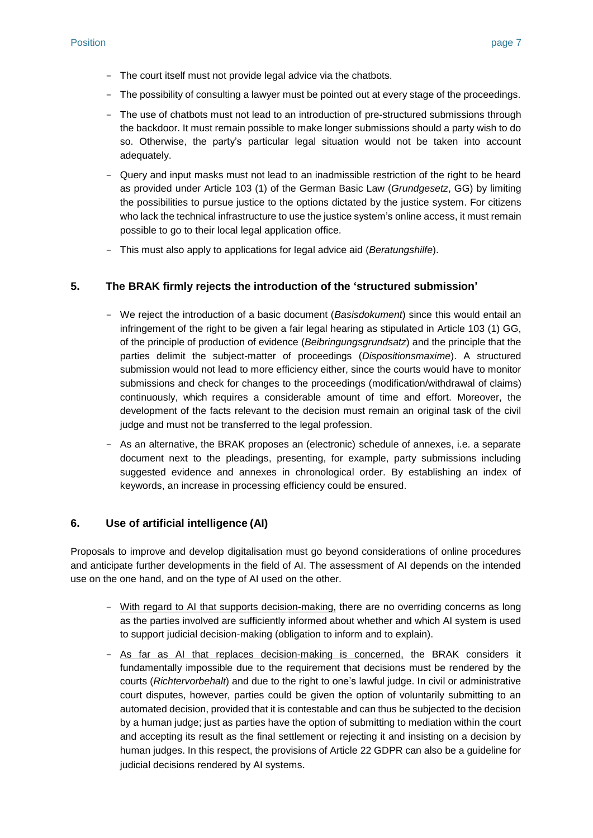- The court itself must not provide legal advice via the chatbots.
- The possibility of consulting a lawyer must be pointed out at every stage of the proceedings.
- The use of chatbots must not lead to an introduction of pre-structured submissions through the backdoor. It must remain possible to make longer submissions should a party wish to do so. Otherwise, the party's particular legal situation would not be taken into account adequately.
- Query and input masks must not lead to an inadmissible restriction of the right to be heard as provided under Article 103 (1) of the German Basic Law (*Grundgesetz*, GG) by limiting the possibilities to pursue justice to the options dictated by the justice system. For citizens who lack the technical infrastructure to use the justice system's online access, it must remain possible to go to their local legal application office.
- This must also apply to applications for legal advice aid (*Beratungshilfe*).

#### **5. The BRAK firmly rejects the introduction of the 'structured submission'**

- We reject the introduction of a basic document (*Basisdokument*) since this would entail an infringement of the right to be given a fair legal hearing as stipulated in Article 103 (1) GG, of the principle of production of evidence (*Beibringungsgrundsatz*) and the principle that the parties delimit the subject-matter of proceedings (*Dispositionsmaxime*). A structured submission would not lead to more efficiency either, since the courts would have to monitor submissions and check for changes to the proceedings (modification/withdrawal of claims) continuously, which requires a considerable amount of time and effort. Moreover, the development of the facts relevant to the decision must remain an original task of the civil judge and must not be transferred to the legal profession.
- As an alternative, the BRAK proposes an (electronic) schedule of annexes, i.e. a separate document next to the pleadings, presenting, for example, party submissions including suggested evidence and annexes in chronological order. By establishing an index of keywords, an increase in processing efficiency could be ensured.

#### **6. Use of artificial intelligence (AI)**

Proposals to improve and develop digitalisation must go beyond considerations of online procedures and anticipate further developments in the field of AI. The assessment of AI depends on the intended use on the one hand, and on the type of AI used on the other.

- With regard to AI that supports decision-making, there are no overriding concerns as long as the parties involved are sufficiently informed about whether and which AI system is used to support judicial decision-making (obligation to inform and to explain).
- As far as AI that replaces decision-making is concerned, the BRAK considers it fundamentally impossible due to the requirement that decisions must be rendered by the courts (*Richtervorbehalt*) and due to the right to one's lawful judge. In civil or administrative court disputes, however, parties could be given the option of voluntarily submitting to an automated decision, provided that it is contestable and can thus be subjected to the decision by a human judge; just as parties have the option of submitting to mediation within the court and accepting its result as the final settlement or rejecting it and insisting on a decision by human judges. In this respect, the provisions of Article 22 GDPR can also be a guideline for judicial decisions rendered by AI systems.